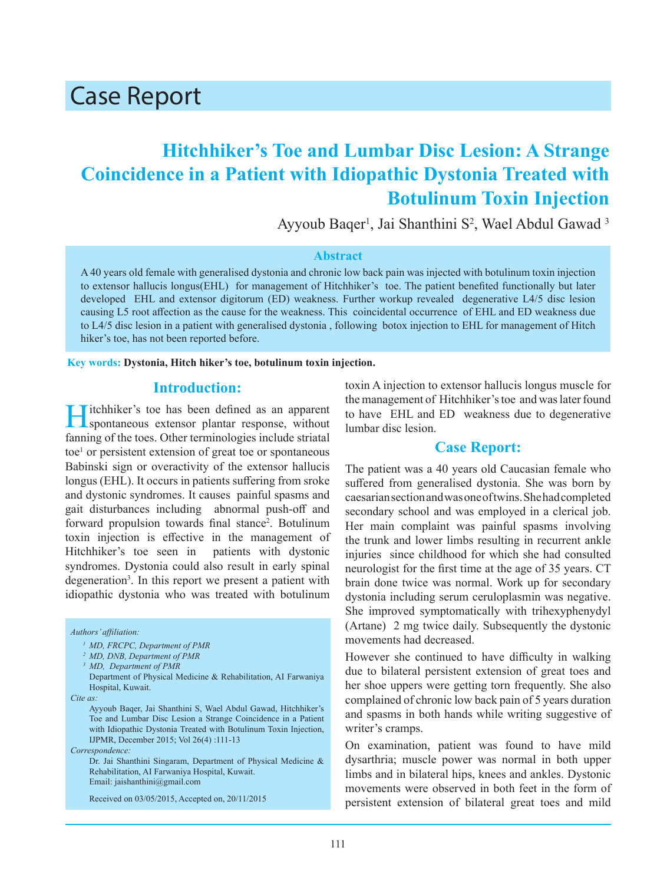# Case Report

## **Hitchhiker's Toe and Lumbar Disc Lesion: A Strange Coincidence in a Patient with Idiopathic Dystonia Treated with Botulinum Toxin Injection**

Ayyoub Baqer<sup>1</sup>, Jai Shanthini S<sup>2</sup>, Wael Abdul Gawad<sup>3</sup>

#### **Abstract**

A 40 years old female with generalised dystonia and chronic low back pain was injected with botulinum toxin injection to extensor hallucis longus(EHL) for management of Hitchhiker's toe. The patient benefited functionally but later developed EHL and extensor digitorum (ED) weakness. Further workup revealed degenerative L4/5 disc lesion causing L5 root affection as the cause for the weakness. This coincidental occurrence of EHL and ED weakness due to L4/5 disc lesion in a patient with generalised dystonia , following botox injection to EHL for management of Hitch hiker's toe, has not been reported before.

**Key words: Dystonia, Hitch hiker's toe, botulinum toxin injection.**

## **Introduction:**

**Titchhiker's toe has been defined as an apparent** spontaneous extensor plantar response, without fanning of the toes. Other terminologies include striatal toe<sup>1</sup> or persistent extension of great toe or spontaneous Babinski sign or overactivity of the extensor hallucis longus (EHL). It occurs in patients suffering from sroke and dystonic syndromes. It causes painful spasms and gait disturbances including abnormal push-off and forward propulsion towards final stance<sup>2</sup>. Botulinum toxin injection is effective in the management of Hitchhiker's toe seen in patients with dystonic syndromes. Dystonia could also result in early spinal degeneration3 . In this report we present a patient with idiopathic dystonia who was treated with botulinum

#### *Authors' affiliation:*

*Correspondence:*

Dr. Jai Shanthini Singaram, Department of Physical Medicine & Rehabilitation, AI Farwaniya Hospital, Kuwait. Email: jaishanthini@gmail.com

Received on 03/05/2015, Accepted on, 20/11/2015

toxin A injection to extensor hallucis longus muscle for the management of Hitchhiker's toe and was later found to have EHL and ED weakness due to degenerative lumbar disc lesion.

## **Case Report:**

The patient was a 40 years old Caucasian female who suffered from generalised dystonia. She was born by caesarian section and was one of twins. She had completed secondary school and was employed in a clerical job. Her main complaint was painful spasms involving the trunk and lower limbs resulting in recurrent ankle injuries since childhood for which she had consulted neurologist for the first time at the age of 35 years. CT brain done twice was normal. Work up for secondary dystonia including serum ceruloplasmin was negative. She improved symptomatically with trihexyphenydyl (Artane) 2 mg twice daily. Subsequently the dystonic movements had decreased.

However she continued to have difficulty in walking due to bilateral persistent extension of great toes and her shoe uppers were getting torn frequently. She also complained of chronic low back pain of 5 years duration and spasms in both hands while writing suggestive of writer's cramps.

On examination, patient was found to have mild dysarthria; muscle power was normal in both upper limbs and in bilateral hips, knees and ankles. Dystonic movements were observed in both feet in the form of persistent extension of bilateral great toes and mild

*<sup>1</sup> MD, FRCPC, Department of PMR*

*<sup>2</sup> MD, DNB, Department of PMR*

*<sup>3</sup> MD, Department of PMR*

Department of Physical Medicine & Rehabilitation, AI Farwaniya Hospital, Kuwait.

*Cite as:*

Ayyoub Baqer, Jai Shanthini S, Wael Abdul Gawad, Hitchhiker's Toe and Lumbar Disc Lesion a Strange Coincidence in a Patient with Idiopathic Dystonia Treated with Botulinum Toxin Injection, IJPMR, December 2015; Vol 26(4) :111-13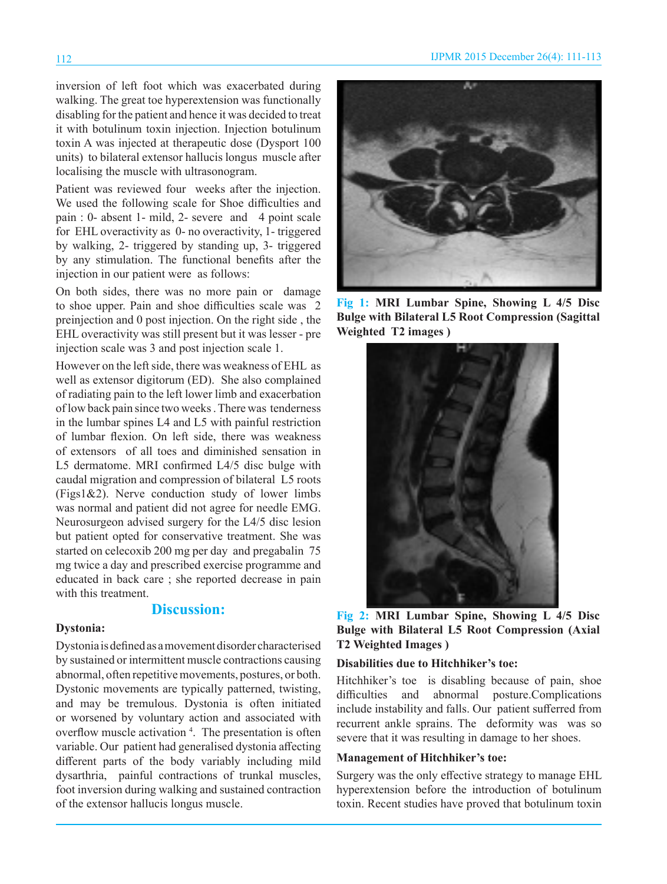inversion of left foot which was exacerbated during walking. The great toe hyperextension was functionally disabling for the patient and hence it was decided to treat it with botulinum toxin injection. Injection botulinum toxin A was injected at therapeutic dose (Dysport 100 units) to bilateral extensor hallucis longus muscle after localising the muscle with ultrasonogram.

Patient was reviewed four weeks after the injection. We used the following scale for Shoe difficulties and pain : 0- absent 1- mild, 2- severe and 4 point scale for EHL overactivity as 0- no overactivity, 1- triggered by walking, 2- triggered by standing up, 3- triggered by any stimulation. The functional benefits after the injection in our patient were as follows:

On both sides, there was no more pain or damage to shoe upper. Pain and shoe difficulties scale was 2 preinjection and 0 post injection. On the right side , the EHL overactivity was still present but it was lesser - pre injection scale was 3 and post injection scale 1.

However on the left side, there was weakness of EHL as well as extensor digitorum (ED). She also complained of radiating pain to the left lower limb and exacerbation of low back pain since two weeks . There was tenderness in the lumbar spines L4 and L5 with painful restriction of lumbar flexion. On left side, there was weakness of extensors of all toes and diminished sensation in L5 dermatome. MRI confirmed L4/5 disc bulge with caudal migration and compression of bilateral L5 roots (Figs1&2). Nerve conduction study of lower limbs was normal and patient did not agree for needle EMG. Neurosurgeon advised surgery for the L4/5 disc lesion but patient opted for conservative treatment. She was started on celecoxib 200 mg per day and pregabalin 75 mg twice a day and prescribed exercise programme and educated in back care ; she reported decrease in pain with this treatment.

## **Discussion:**

### **Dystonia:**

Dystonia is defined as a movement disorder characterised by sustained or intermittent muscle contractions causing abnormal, often repetitive movements, postures, or both. Dystonic movements are typically patterned, twisting, and may be tremulous. Dystonia is often initiated or worsened by voluntary action and associated with overflow muscle activation<sup>4</sup>. The presentation is often variable. Our patient had generalised dystonia affecting different parts of the body variably including mild dysarthria, painful contractions of trunkal muscles, foot inversion during walking and sustained contraction of the extensor hallucis longus muscle.



**Fig 1: MRI Lumbar Spine, Showing L 4/5 Disc Bulge with Bilateral L5 Root Compression (Sagittal Weighted T2 images )**



**Fig 2: MRI Lumbar Spine, Showing L 4/5 Disc Bulge with Bilateral L5 Root Compression (Axial T2 Weighted Images )**

#### **Disabilities due to Hitchhiker's toe:**

Hitchhiker's toe is disabling because of pain, shoe difficulties and abnormal posture.Complications include instability and falls. Our patient sufferred from recurrent ankle sprains. The deformity was was so severe that it was resulting in damage to her shoes.

#### **Management of Hitchhiker's toe:**

Surgery was the only effective strategy to manage EHL hyperextension before the introduction of botulinum toxin. Recent studies have proved that botulinum toxin